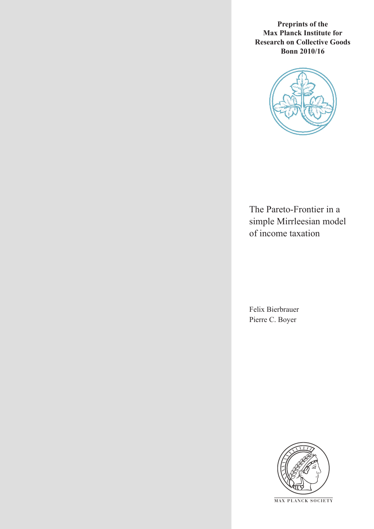**Preprints of the Max Planck Institute for Research on Collective Goods Bonn 2010/16**



The Pareto-Frontier in a simple Mirrleesian model of income taxation

Felix Bierbrauer Pierre C. Boyer



**M AX P L A N C K S O C I E T Y**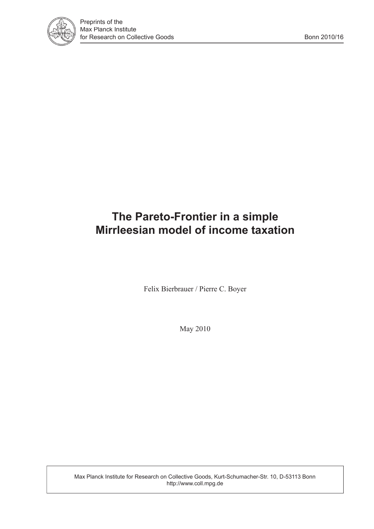

# **The Pareto-Frontier in a simple Mirrleesian model of income taxation**

Felix Bierbrauer / Pierre C. Boyer

May 2010

Max Planck Institute for Research on Collective Goods, Kurt-Schumacher-Str. 10, D-53113 Bonn http://www.coll.mpg.de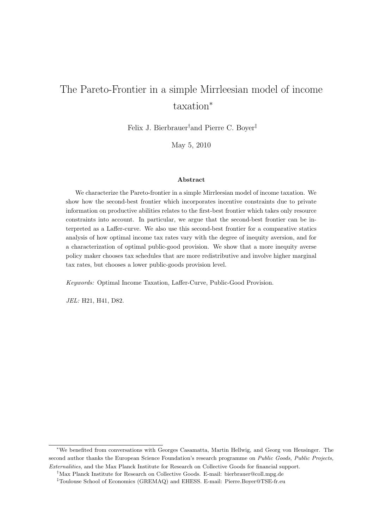# The Pareto-Frontier in a simple Mirrleesian model of income taxation<sup>∗</sup>

Felix J. Bierbrauer†and Pierre C. Boyer‡

May 5, 2010

#### Abstract

We characterize the Pareto-frontier in a simple Mirrleesian model of income taxation. We show how the second-best frontier which incorporates incentive constraints due to private information on productive abilities relates to the first-best frontier which takes only resource constraints into account. In particular, we argue that the second-best frontier can be interpreted as a Laffer-curve. We also use this second-best frontier for a comparative statics analysis of how optimal income tax rates vary with the degree of inequity aversion, and for a characterization of optimal public-good provision. We show that a more inequity averse policy maker chooses tax schedules that are more redistributive and involve higher marginal tax rates, but chooses a lower public-goods provision level.

Keywords: Optimal Income Taxation, Laffer-Curve, Public-Good Provision.

JEL: H21, H41, D82.

<sup>∗</sup>We benefited from conversations with Georges Casamatta, Martin Hellwig, and Georg von Heusinger. The second author thanks the European Science Foundation's research programme on Public Goods, Public Projects, Externalities, and the Max Planck Institute for Research on Collective Goods for financial support.

<sup>†</sup>Max Planck Institute for Research on Collective Goods. E-mail: bierbrauer@coll.mpg.de

<sup>‡</sup>Toulouse School of Economics (GREMAQ) and EHESS. E-mail: Pierre.Boyer@TSE-fr.eu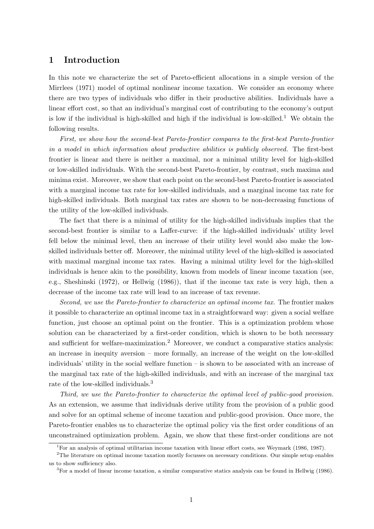## 1 Introduction

In this note we characterize the set of Pareto-efficient allocations in a simple version of the Mirrlees (1971) model of optimal nonlinear income taxation. We consider an economy where there are two types of individuals who differ in their productive abilities. Individuals have a linear effort cost, so that an individual's marginal cost of contributing to the economy's output is low if the individual is high-skilled and high if the individual is low-skilled.<sup>1</sup> We obtain the following results.

First, we show how the second-best Pareto-frontier compares to the first-best Pareto-frontier in a model in which information about productive abilities is publicly observed. The first-best frontier is linear and there is neither a maximal, nor a minimal utility level for high-skilled or low-skilled individuals. With the second-best Pareto-frontier, by contrast, such maxima and minima exist. Moreover, we show that each point on the second-best Pareto-frontier is associated with a marginal income tax rate for low-skilled individuals, and a marginal income tax rate for high-skilled individuals. Both marginal tax rates are shown to be non-decreasing functions of the utility of the low-skilled individuals.

The fact that there is a minimal of utility for the high-skilled individuals implies that the second-best frontier is similar to a Laffer-curve: if the high-skilled individuals' utility level fell below the minimal level, then an increase of their utility level would also make the lowskilled individuals better off. Moreover, the minimal utility level of the high-skilled is associated with maximal marginal income tax rates. Having a minimal utility level for the high-skilled individuals is hence akin to the possibility, known from models of linear income taxation (see, e.g., Sheshinski (1972), or Hellwig (1986)), that if the income tax rate is very high, then a decrease of the income tax rate will lead to an increase of tax revenue.

Second, we use the Pareto-frontier to characterize an optimal income tax. The frontier makes it possible to characterize an optimal income tax in a straightforward way: given a social welfare function, just choose an optimal point on the frontier. This is a optimization problem whose solution can be characterized by a first-order condition, which is shown to be both necessary and sufficient for welfare-maximization.<sup>2</sup> Moreover, we conduct a comparative statics analysis: an increase in inequity aversion – more formally, an increase of the weight on the low-skilled individuals' utility in the social welfare function – is shown to be associated with an increase of the marginal tax rate of the high-skilled individuals, and with an increase of the marginal tax rate of the low-skilled individuals.<sup>3</sup>

Third, we use the Pareto-frontier to characterize the optimal level of public-good provision. As an extension, we assume that individuals derive utility from the provision of a public good and solve for an optimal scheme of income taxation and public-good provision. Once more, the Pareto-frontier enables us to characterize the optimal policy via the first order conditions of an unconstrained optimization problem. Again, we show that these first-order conditions are not

<sup>&</sup>lt;sup>1</sup>For an analysis of optimal utilitarian income taxation with linear effort costs, see Weymark (1986, 1987).

<sup>&</sup>lt;sup>2</sup>The literature on optimal income taxation mostly focusses on necessary conditions. Our simple setup enables us to show sufficiency also.

<sup>3</sup>For a model of linear income taxation, a similar comparative statics analysis can be found in Hellwig (1986).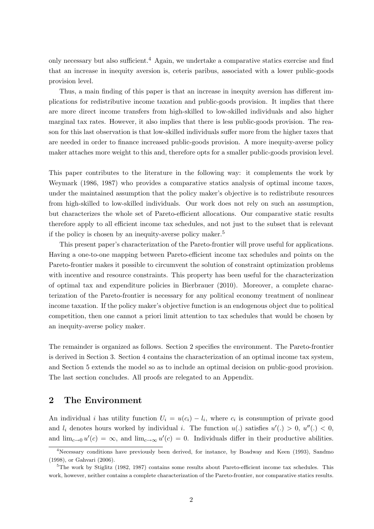only necessary but also sufficient.<sup>4</sup> Again, we undertake a comparative statics exercise and find that an increase in inequity aversion is, ceteris paribus, associated with a lower public-goods provision level.

Thus, a main finding of this paper is that an increase in inequity aversion has different implications for redistributive income taxation and public-goods provision. It implies that there are more direct income transfers from high-skilled to low-skilled individuals and also higher marginal tax rates. However, it also implies that there is less public-goods provision. The reason for this last observation is that low-skilled individuals suffer more from the higher taxes that are needed in order to finance increased public-goods provision. A more inequity-averse policy maker attaches more weight to this and, therefore opts for a smaller public-goods provision level.

This paper contributes to the literature in the following way: it complements the work by Weymark (1986, 1987) who provides a comparative statics analysis of optimal income taxes, under the maintained assumption that the policy maker's objective is to redistribute resources from high-skilled to low-skilled individuals. Our work does not rely on such an assumption, but characterizes the whole set of Pareto-efficient allocations. Our comparative static results therefore apply to all efficient income tax schedules, and not just to the subset that is relevant if the policy is chosen by an inequity-averse policy maker.<sup>5</sup>

This present paper's characterization of the Pareto-frontier will prove useful for applications. Having a one-to-one mapping between Pareto-efficient income tax schedules and points on the Pareto-frontier makes it possible to circumvent the solution of constraint optimization problems with incentive and resource constraints. This property has been useful for the characterization of optimal tax and expenditure policies in Bierbrauer (2010). Moreover, a complete characterization of the Pareto-frontier is necessary for any political economy treatment of nonlinear income taxation. If the policy maker's objective function is an endogenous object due to political competition, then one cannot a priori limit attention to tax schedules that would be chosen by an inequity-averse policy maker.

The remainder is organized as follows. Section 2 specifies the environment. The Pareto-frontier is derived in Section 3. Section 4 contains the characterization of an optimal income tax system, and Section 5 extends the model so as to include an optimal decision on public-good provision. The last section concludes. All proofs are relegated to an Appendix.

## 2 The Environment

An individual *i* has utility function  $U_i = u(c_i) - l_i$ , where  $c_i$  is consumption of private good and  $l_i$  denotes hours worked by individual i. The function  $u(.)$  satisfies  $u'(.) > 0, u''(.) < 0,$ and  $\lim_{c\to 0}u'(c)=\infty$ , and  $\lim_{c\to\infty}u'(c)=0$ . Individuals differ in their productive abilities.

<sup>4</sup>Necessary conditions have previously been derived, for instance, by Boadway and Keen (1993), Sandmo (1998), or Gahvari (2006).

<sup>&</sup>lt;sup>5</sup>The work by Stiglitz (1982, 1987) contains some results about Pareto-efficient income tax schedules. This work, however, neither contains a complete characterization of the Pareto-frontier, nor comparative statics results.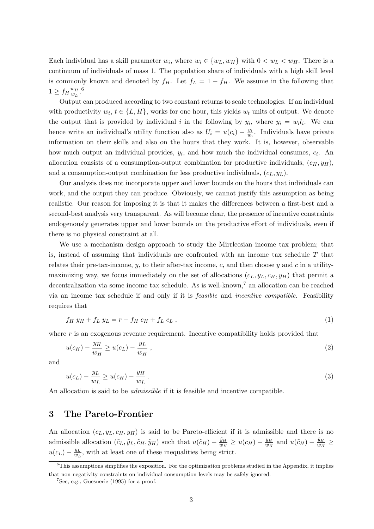Each individual has a skill parameter  $w_i$ , where  $w_i \in \{w_L, w_H\}$  with  $0 < w_L < w_H$ . There is a continuum of individuals of mass 1. The population share of individuals with a high skill level is commonly known and denoted by  $f_H$ . Let  $f_L = 1 - f_H$ . We assume in the following that  $1 \geq f_H \frac{w_H}{w_L}$  $\frac{w_H}{w_L}$ .<sup>6</sup>

Output can produced according to two constant returns to scale technologies. If an individual with productivity  $w_t, t \in \{L, H\}$ , works for one hour, this yields  $w_t$  units of output. We denote the output that is provided by individual i in the following by  $y_i$ , where  $y_i = w_i l_i$ . We can hence write an individual's utility function also as  $U_i = u(c_i) - \frac{y_i}{w_i}$  $\frac{y_i}{w_i}$ . Individuals have private information on their skills and also on the hours that they work. It is, however, observable how much output an individual provides,  $y_i$ , and how much the individual consumes,  $c_i$ . An allocation consists of a consumption-output combination for productive individuals,  $(c_H, y_H)$ , and a consumption-output combination for less productive individuals,  $(c<sub>L</sub>, y<sub>L</sub>)$ .

Our analysis does not incorporate upper and lower bounds on the hours that individuals can work, and the output they can produce. Obviously, we cannot justify this assumption as being realistic. Our reason for imposing it is that it makes the differences between a first-best and a second-best analysis very transparent. As will become clear, the presence of incentive constraints endogenously generates upper and lower bounds on the productive effort of individuals, even if there is no physical constraint at all.

We use a mechanism design approach to study the Mirrleesian income tax problem; that is, instead of assuming that individuals are confronted with an income tax schedule  $T$  that relates their pre-tax-income, y, to their after-tax income, c, and then choose y and c in a utilitymaximizing way, we focus immediately on the set of allocations  $(c_L, y_L, c_H, y_H)$  that permit a decentralization via some income tax schedule. As is well-known,<sup>7</sup> an allocation can be reached via an income tax schedule if and only if it is feasible and incentive compatible. Feasibility requires that

$$
f_H y_H + f_L y_L = r + f_H c_H + f_L c_L , \qquad (1)
$$

where  $r$  is an exogenous revenue requirement. Incentive compatibility holds provided that

$$
u(c_H) - \frac{y_H}{w_H} \ge u(c_L) - \frac{y_L}{w_H} \,,\tag{2}
$$

and

$$
u(c_L) - \frac{y_L}{w_L} \ge u(c_H) - \frac{y_H}{w_L} \tag{3}
$$

An allocation is said to be *admissible* if it is feasible and incentive compatible.

### 3 The Pareto-Frontier

An allocation  $(c_L, y_L, c_H, y_H)$  is said to be Pareto-efficient if it is admissible and there is no admissible allocation  $(\tilde{c}_L, \tilde{y}_L, \tilde{c}_H, \tilde{y}_H)$  such that  $u(\tilde{c}_H) - \frac{\tilde{y}_H}{w_H}$  $\frac{\tilde{y}_H}{w_H} \geq u(c_H) - \frac{y_H}{w_H}$  $\frac{y_H}{w_H}$  and  $u(\tilde{c}_H) - \frac{\tilde{y}_H}{w_H}$  $\frac{y_H}{w_H} \geq$  $u(c_L) - \frac{y_L}{w_L}$  $\frac{y_L}{w_L}$ , with at least one of these inequalities being strict.

 $6$ This assumptions simplifies the exposition. For the optimization problems studied in the Appendix, it implies that non-negativity constraints on individual consumption levels may be safely ignored.

 ${}^{7}$ See, e.g., Guesnerie (1995) for a proof.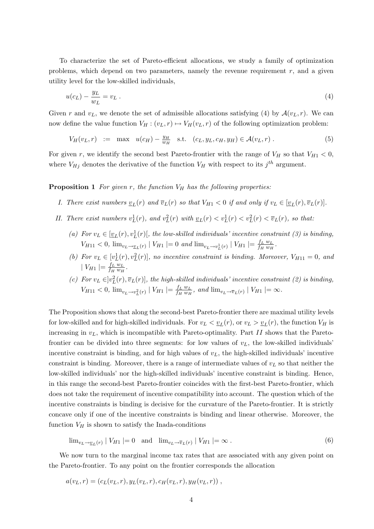To characterize the set of Pareto-efficient allocations, we study a family of optimization problems, which depend on two parameters, namely the revenue requirement  $r$ , and a given utility level for the low-skilled individuals,

$$
u(c_L) - \frac{y_L}{w_L} = v_L \tag{4}
$$

Given r and  $v_L$ , we denote the set of admissible allocations satisfying (4) by  $\mathcal{A}(v_L, r)$ . We can now define the value function  $V_H : (v_L, r) \mapsto V_H(v_L, r)$  of the following optimization problem:

$$
V_H(v_L, r) := \max \ u(c_H) - \frac{y_H}{w_H} \quad \text{s.t.} \quad (c_L, y_L, c_H, y_H) \in \mathcal{A}(v_L, r) \,. \tag{5}
$$

For given r, we identify the second best Pareto-frontier with the range of  $V_H$  so that  $V_{H1} < 0$ , where  $V_{Hj}$  denotes the derivative of the function  $V_H$  with respect to its  $j^{th}$  argument.

#### **Proposition 1** For given r, the function  $V_H$  has the following properties:

- I. There exist numbers  $v_L(r)$  and  $\overline{v}_L(r)$  so that  $V_{H_1} < 0$  if and only if  $v_L \in [\underline{v}_L(r), \overline{v}_L(r)]$ .
- II. There exist numbers  $v_L^1(r)$ , and  $v_L^2(r)$  with  $v_L(r) < v_L^1(r) < v_L^2(r) < \overline{v}_L(r)$ , so that:
	- (a) For  $v_L \in [\underline{v}_L(r), v_L^1(r)]$ , the low-skilled individuals' incentive constraint (3) is binding,  $V_{H11} < 0$ ,  $\lim_{v_L \to v_L(r)} |V_{H1}| = 0$  and  $\lim_{v_L \to v_L^1(r)} |V_{H1}| = \frac{f_L w_L}{f_H w_H}$  $\frac{f_L w_L}{f_H w_H}$ .
	- (b) For  $v_L \in [v_L^1(r), v_L^2(r)]$ , no incentive constraint is binding. Moreover,  $V_{H11} = 0$ , and  $|V_{H1}| = \frac{f_L w_L}{f_H w_H}$  $\frac{f_L w_L}{f_H w_H}$  .
	- (c) For  $v_L \in ]v_L^2(r), \overline{v}_L(r)]$ , the high-skilled individuals' incentive constraint (2) is binding,  $V_{H11} < 0, \lim_{v_L \to v_L^2(r)} |V_{H1}| = \frac{f_L w_L}{f_H w_H}$  $\frac{J_L w_L}{f_H w_H}$ , and  $\lim_{v_L \to \overline{v}_L(r)} |V_{H1}| = \infty$ .

The Proposition shows that along the second-best Pareto-frontier there are maximal utility levels for low-skilled and for high-skilled individuals. For  $v_L < v_L(r)$ , or  $v_L > v_L(r)$ , the function  $V_H$  is increasing in  $v_L$ , which is incompatible with Pareto-optimality. Part II shows that the Paretofrontier can be divided into three segments: for low values of  $v<sub>L</sub>$ , the low-skilled individuals' incentive constraint is binding, and for high values of  $v<sub>L</sub>$ , the high-skilled individuals' incentive constraint is binding. Moreover, there is a range of intermediate values of  $v<sub>L</sub>$  so that neither the low-skilled individuals' nor the high-skilled individuals' incentive constraint is binding. Hence, in this range the second-best Pareto-frontier coincides with the first-best Pareto-frontier, which does not take the requirement of incentive compatibility into account. The question which of the incentive constraints is binding is decisive for the curvature of the Pareto-frontier. It is strictly concave only if one of the incentive constraints is binding and linear otherwise. Moreover, the function  $V_H$  is shown to satisfy the Inada-conditions

$$
\lim_{v_L \to v_L(r)} |V_{H1}| = 0 \quad \text{and} \quad \lim_{v_L \to \overline{v}_L(r)} |V_{H1}| = \infty \,. \tag{6}
$$

We now turn to the marginal income tax rates that are associated with any given point on the Pareto-frontier. To any point on the frontier corresponds the allocation

$$
a(v_L, r) = (c_L(v_L, r), y_L(v_L, r), c_H(v_L, r), y_H(v_L, r)),
$$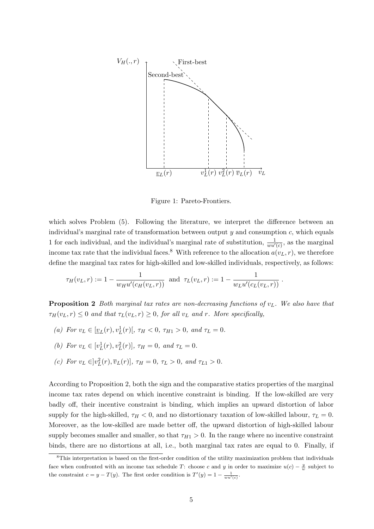

Figure 1: Pareto-Frontiers.

which solves Problem  $(5)$ . Following the literature, we interpret the difference between an individual's marginal rate of transformation between output  $y$  and consumption  $c$ , which equals 1 for each individual, and the individual's marginal rate of substitution,  $\frac{1}{wu'(c)}$ , as the marginal income tax rate that the individual faces.<sup>8</sup> With reference to the allocation  $a(v<sub>L</sub>, r)$ , we therefore define the marginal tax rates for high-skilled and low-skilled individuals, respectively, as follows:

$$
\tau_H(v_L, r) := 1 - \frac{1}{w_H u'(c_H(v_L, r))}
$$
 and  $\tau_L(v_L, r) := 1 - \frac{1}{w_L u'(c_L(v_L, r))}$ .

**Proposition 2** Both marginal tax rates are non-decreasing functions of  $v_L$ . We also have that  $\tau_H(v_L, r) \leq 0$  and that  $\tau_L(v_L, r) \geq 0$ , for all  $v_L$  and r. More specifically,

- (a) For  $v_L \in [\underline{v}_L(r), v_L^1(r)$ ,  $\tau_H < 0$ ,  $\tau_{H1} > 0$ , and  $\tau_L = 0$ .
- (b) For  $v_L \in [v_L^1(r), v_L^2(r)], \tau_H = 0, \text{ and } \tau_L = 0.$
- (c) For  $v_L \in ]v_L^2(r), \overline{v}_L(r)], \tau_H = 0, \tau_L > 0, \text{ and } \tau_{L1} > 0.$

According to Proposition 2, both the sign and the comparative statics properties of the marginal income tax rates depend on which incentive constraint is binding. If the low-skilled are very badly off, their incentive constraint is binding, which implies an upward distortion of labor supply for the high-skilled,  $\tau_H < 0$ , and no distortionary taxation of low-skilled labour,  $\tau_L = 0$ . Moreover, as the low-skilled are made better off, the upward distortion of high-skilled labour supply becomes smaller and smaller, so that  $\tau_{H1} > 0$ . In the range where no incentive constraint binds, there are no distortions at all, i.e., both marginal tax rates are equal to 0. Finally, if

<sup>8</sup>This interpretation is based on the first-order condition of the utility maximization problem that individuals face when confronted with an income tax schedule T: choose c and y in order to maximize  $u(c) - \frac{y}{w}$  subject to the constraint  $c = y - T(y)$ . The first order condition is  $T'(y) = 1 - \frac{1}{wu'(c)}$ .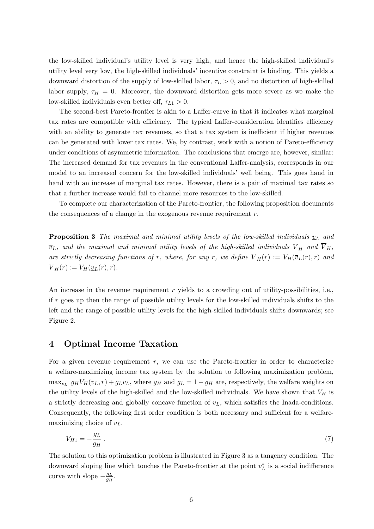the low-skilled individual's utility level is very high, and hence the high-skilled individual's utility level very low, the high-skilled individuals' incentive constraint is binding. This yields a downward distortion of the supply of low-skilled labor,  $\tau_L > 0$ , and no distortion of high-skilled labor supply,  $\tau_H = 0$ . Moreover, the downward distortion gets more severe as we make the low-skilled individuals even better off,  $\tau_{L1} > 0$ .

The second-best Pareto-frontier is akin to a Laffer-curve in that it indicates what marginal tax rates are compatible with efficiency. The typical Laffer-consideration identifies efficiency with an ability to generate tax revenues, so that a tax system is inefficient if higher revenues can be generated with lower tax rates. We, by contrast, work with a notion of Pareto-efficiency under conditions of asymmetric information. The conclusions that emerge are, however, similar: The increased demand for tax revenues in the conventional Laffer-analysis, corresponds in our model to an increased concern for the low-skilled individuals' well being. This goes hand in hand with an increase of marginal tax rates. However, there is a pair of maximal tax rates so that a further increase would fail to channel more resources to the low-skilled.

To complete our characterization of the Pareto-frontier, the following proposition documents the consequences of a change in the exogenous revenue requirement  $r$ .

**Proposition 3** The maximal and minimal utility levels of the low-skilled individuals  $v_L$  and  $\overline{v}_L$ , and the maximal and minimal utility levels of the high-skilled individuals  $\underline{V}_H$  and  $\overline{V}_H$ , are strictly decreasing functions of r, where, for any r, we define  $\underline{V}_H(r) := V_H(\overline{v}_L(r), r)$  and  $\overline{V}_H(r) := V_H(\underline{v}_L(r), r).$ 

An increase in the revenue requirement  $r$  yields to a crowding out of utility-possibilities, i.e., if r goes up then the range of possible utility levels for the low-skilled individuals shifts to the left and the range of possible utility levels for the high-skilled individuals shifts downwards; see Figure 2.

## 4 Optimal Income Taxation

For a given revenue requirement  $r$ , we can use the Pareto-frontier in order to characterize a welfare-maximizing income tax system by the solution to following maximization problem,  $\max_{v_L} g_H V_H(v_L, r) + g_L v_L$ , where  $g_H$  and  $g_L = 1 - g_H$  are, respectively, the welfare weights on the utility levels of the high-skilled and the low-skilled individuals. We have shown that  $V_H$  is a strictly decreasing and globally concave function of  $v<sub>L</sub>$ , which satisfies the Inada-conditions. Consequently, the following first order condition is both necessary and sufficient for a welfaremaximizing choice of  $v_L$ ,

$$
V_{H1} = -\frac{g_L}{g_H} \tag{7}
$$

The solution to this optimization problem is illustrated in Figure 3 as a tangency condition. The downward sloping line which touches the Pareto-frontier at the point  $v_L^*$  is a social indifference curve with slope  $-\frac{g_L}{g_H}$  $\frac{g_L}{g_H}.$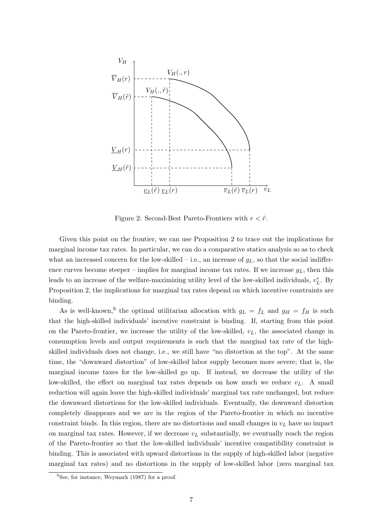

Figure 2: Second-Best Pareto-Frontiers with  $r < \tilde{r}$ .

Given this point on the frontier, we can use Proposition 2 to trace out the implications for marginal income tax rates. In particular, we can do a comparative statics analysis so as to check what an increased concern for the low-skilled – i.e., an increase of  $g<sub>L</sub>$ , so that the social indifference curves become steeper – implies for marginal income tax rates. If we increase  $g_L$ , then this leads to an increase of the welfare-maximizing utility level of the low-skilled individuals,  $v_L^*$ . By Proposition 2, the implications for marginal tax rates depend on which incentive constraints are binding.

As is well-known,<sup>9</sup> the optimal utilitarian allocation with  $g_L = f_L$  and  $g_H = f_H$  is such that the high-skilled individuals' incentive constraint is binding. If, starting from this point on the Pareto-frontier, we increase the utility of the low-skilled,  $v_L$ , the associated change in consumption levels and output requirements is such that the marginal tax rate of the highskilled individuals does not change, i.e., we still have "no distortion at the top". At the same time, the "downward distortion" of low-skilled labor supply becomes more severe; that is, the marginal income taxes for the low-skilled go up. If instead, we decrease the utility of the low-skilled, the effect on marginal tax rates depends on how much we reduce  $v_L$ . A small reduction will again leave the high-skilled individuals' marginal tax rate unchanged, but reduce the downward distortions for the low-skilled individuals. Eventually, the downward distortion completely disappears and we are in the region of the Pareto-frontier in which no incentive constraint binds. In this region, there are no distortions and small changes in  $v<sub>L</sub>$  have no impact on marginal tax rates. However, if we decrease  $v<sub>L</sub>$  substantially, we eventually reach the region of the Pareto-frontier so that the low-skilled individuals' incentive compatibility constraint is binding. This is associated with upward distortions in the supply of high-skilled labor (negative marginal tax rates) and no distortions in the supply of low-skilled labor (zero marginal tax

 $9$ See, for instance, Weymark (1987) for a proof.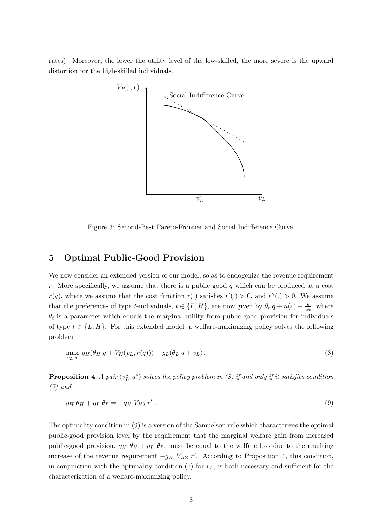rates). Moreover, the lower the utility level of the low-skilled, the more severe is the upward distortion for the high-skilled individuals.



Figure 3: Second-Best Pareto-Frontier and Social Indifference Curve.

# 5 Optimal Public-Good Provision

We now consider an extended version of our model, so as to endogenize the revenue requirement r. More specifically, we assume that there is a public good q which can be produced at a cost  $r(q)$ , where we assume that the cost function  $r(\cdot)$  satisfies  $r'(\cdot) > 0$ , and  $r''(\cdot) > 0$ . We assume that the preferences of type t-individuals,  $t \in \{L, H\}$ , are now given by  $\theta_t q + u(c) - \frac{y}{w}$  $\frac{y}{w_t}$ , where  $\theta_t$  is a parameter which equals the marginal utility from public-good provision for individuals of type  $t \in \{L, H\}$ . For this extended model, a welfare-maximizing policy solves the following problem

$$
\max_{v_L,q} g_H(\theta_H q + V_H(v_L, r(q))) + g_L(\theta_L q + v_L). \tag{8}
$$

**Proposition 4** A pair  $(v_L^*, q^*)$  solves the policy problem in (8) if and only if it satisfies condition (7) and

$$
g_H \theta_H + g_L \theta_L = -g_H V_{H2} r' \,. \tag{9}
$$

The optimality condition in (9) is a version of the Samuelson rule which characterizes the optimal public-good provision level by the requirement that the marginal welfare gain from increased public-good provision,  $g_H \theta_H + g_L \theta_L$ , must be equal to the welfare loss due to the resulting increase of the revenue requirement  $-g_H V_{H2} r'$ . According to Proposition 4, this condition, in conjunction with the optimality condition  $(7)$  for  $v<sub>L</sub>$ , is both necessary and sufficient for the characterization of a welfare-maximizing policy.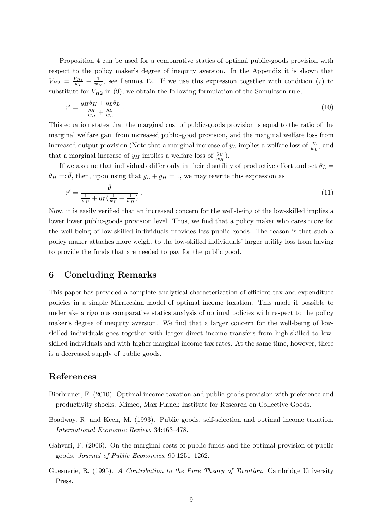Proposition 4 can be used for a comparative statics of optimal public-goods provision with respect to the policy maker's degree of inequity aversion. In the Appendix it is shown that  $V_{H2} = \frac{V_{H1}}{w_L}$  $\frac{V_{H1}}{w_L} - \frac{1}{w_H}$  $\frac{1}{w_H}$ , see Lemma 12. If we use this expression together with condition (7) to substitute for  $V_{H2}$  in (9), we obtain the following formulation of the Samuleson rule,

$$
r' = \frac{g_H \theta_H + g_L \theta_L}{\frac{g_H}{w_H} + \frac{g_L}{w_L}} \,. \tag{10}
$$

This equation states that the marginal cost of public-goods provision is equal to the ratio of the marginal welfare gain from increased public-good provision, and the marginal welfare loss from increased output provision (Note that a marginal increase of  $y_L$  implies a welfare loss of  $\frac{g_L}{w_L}$ , and that a marginal increase of  $y_H$  implies a welfare loss of  $\frac{g_H}{w_H}$ .

If we assume that individuals differ only in their disutility of productive effort and set  $\theta_L$  =  $\theta_H = \overline{\theta}$ , then, upon using that  $g_L + g_H = 1$ , we may rewrite this expression as

$$
r' = \frac{\bar{\theta}}{\frac{1}{w_H} + g_L(\frac{1}{w_L} - \frac{1}{w_H})} \,. \tag{11}
$$

Now, it is easily verified that an increased concern for the well-being of the low-skilled implies a lower lower public-goods provision level. Thus, we find that a policy maker who cares more for the well-being of low-skilled individuals provides less public goods. The reason is that such a policy maker attaches more weight to the low-skilled individuals' larger utility loss from having to provide the funds that are needed to pay for the public good.

## 6 Concluding Remarks

This paper has provided a complete analytical characterization of efficient tax and expenditure policies in a simple Mirrleesian model of optimal income taxation. This made it possible to undertake a rigorous comparative statics analysis of optimal policies with respect to the policy maker's degree of inequity aversion. We find that a larger concern for the well-being of lowskilled individuals goes together with larger direct income transfers from high-skilled to lowskilled individuals and with higher marginal income tax rates. At the same time, however, there is a decreased supply of public goods.

### References

- Bierbrauer, F. (2010). Optimal income taxation and public-goods provision with preference and productivity shocks. Mimeo, Max Planck Institute for Research on Collective Goods.
- Boadway, R. and Keen, M. (1993). Public goods, self-selection and optimal income taxation. International Economic Review, 34:463–478.
- Gahvari, F. (2006). On the marginal costs of public funds and the optimal provision of public goods. Journal of Public Economics, 90:1251–1262.
- Guesnerie, R. (1995). A Contribution to the Pure Theory of Taxation. Cambridge University Press.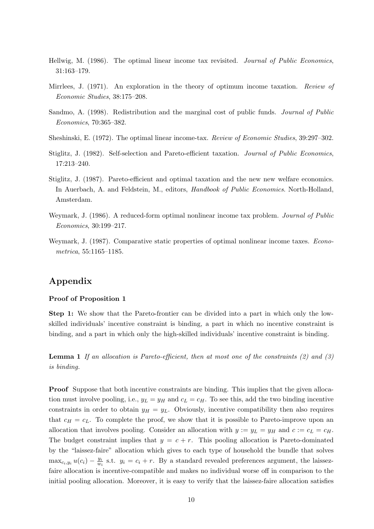- Hellwig, M. (1986). The optimal linear income tax revisited. Journal of Public Economics, 31:163–179.
- Mirrlees, J. (1971). An exploration in the theory of optimum income taxation. Review of Economic Studies, 38:175–208.
- Sandmo, A. (1998). Redistribution and the marginal cost of public funds. Journal of Public Economics, 70:365–382.
- Sheshinski, E. (1972). The optimal linear income-tax. Review of Economic Studies, 39:297–302.
- Stiglitz, J. (1982). Self-selection and Pareto-efficient taxation. Journal of Public Economics, 17:213–240.
- Stiglitz, J. (1987). Pareto-efficient and optimal taxation and the new new welfare economics. In Auerbach, A. and Feldstein, M., editors, *Handbook of Public Economics*. North-Holland, Amsterdam.
- Weymark, J. (1986). A reduced-form optimal nonlinear income tax problem. *Journal of Public* Economics, 30:199–217.
- Weymark, J. (1987). Comparative static properties of optimal nonlinear income taxes. Econometrica, 55:1165–1185.

# Appendix

#### Proof of Proposition 1

Step 1: We show that the Pareto-frontier can be divided into a part in which only the lowskilled individuals' incentive constraint is binding, a part in which no incentive constraint is binding, and a part in which only the high-skilled individuals' incentive constraint is binding.

**Lemma 1** If an allocation is Pareto-efficient, then at most one of the constraints  $(2)$  and  $(3)$ is binding.

Proof Suppose that both incentive constraints are binding. This implies that the given allocation must involve pooling, i.e.,  $y_L = y_H$  and  $c_L = c_H$ . To see this, add the two binding incentive constraints in order to obtain  $y_H = y_L$ . Obviously, incentive compatibility then also requires that  $c_H = c_L$ . To complete the proof, we show that it is possible to Pareto-improve upon an allocation that involves pooling. Consider an allocation with  $y := y_L = y_H$  and  $c := c_L = c_H$ . The budget constraint implies that  $y = c + r$ . This pooling allocation is Pareto-dominated by the "laissez-faire" allocation which gives to each type of household the bundle that solves  $\max_{c_i,y_i} u(c_i) - \frac{y_i}{w_i}$  $\frac{y_i}{w_i}$  s.t.  $y_i = c_i + r$ . By a standard revealed preferences argument, the laissezfaire allocation is incentive-compatible and makes no individual worse off in comparison to the initial pooling allocation. Moreover, it is easy to verify that the laissez-faire allocation satisfies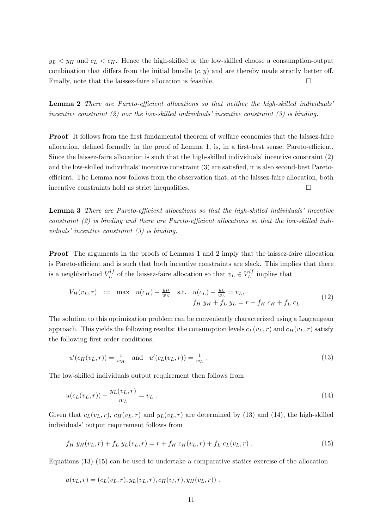$y_L < y_H$  and  $c_L < c_H$ . Hence the high-skilled or the low-skilled choose a consumption-output combination that differs from the initial bundle  $(c, y)$  and are thereby made strictly better off. Finally, note that the laissez-faire allocation is feasible.  $\Box$ 

Lemma 2 There are Pareto-efficient allocations so that neither the high-skilled individuals' incentive constraint  $(2)$  nor the low-skilled individuals' incentive constraint  $(3)$  is binding.

**Proof** It follows from the first fundamental theorem of welfare economics that the laissez-faire allocation, defined formally in the proof of Lemma 1, is, in a first-best sense, Pareto-efficient. Since the laissez-faire allocation is such that the high-skilled individuals' incentive constraint (2) and the low-skilled individuals' incentive constraint (3) are satisfied, it is also second-best Paretoefficient. The Lemma now follows from the observation that, at the laissez-faire allocation, both incentive constraints hold as strict inequalities.

Lemma 3 There are Pareto-efficient allocations so that the high-skilled individuals' incentive constraint (2) is binding and there are Pareto-efficient allocations so that the low-skilled individuals' incentive constraint (3) is binding.

Proof The arguments in the proofs of Lemmas 1 and 2 imply that the laissez-faire allocation is Pareto-efficient and is such that both incentive constraints are slack. This implies that there is a neighborhood  $V_l^{lf}$  $L^{l}$  of the laissez-faire allocation so that  $v_L \in V_L^{l}$  $\mu_L^{ij}$  implies that

$$
V_H(v_L, r) := \max u(c_H) - \frac{y_H}{w_H} \text{ s.t. } u(c_L) - \frac{y_L}{w_L} = v_L, f_H y_H + f_L y_L = r + f_H c_H + f_L c_L.
$$
 (12)

The solution to this optimization problem can be conveniently characterized using a Lagrangean approach. This yields the following results: the consumption levels  $c_L(v_L, r)$  and  $c_H(v_L, r)$  satisfy the following first order conditions,

$$
u'(c_H(v_L, r)) = \frac{1}{w_H} \quad \text{and} \quad u'(c_L(v_L, r)) = \frac{1}{w_L} \,. \tag{13}
$$

The low-skilled individuals output requirement then follows from

$$
u(c_L(v_L, r)) - \frac{y_L(v_L, r)}{w_L} = v_L.
$$
\n(14)

Given that  $c_L(v_L, r)$ ,  $c_H(v_L, r)$  and  $y_L(v_L, r)$  are determined by (13) and (14), the high-skilled individuals' output requirement follows from

$$
f_H y_H(v_L, r) + f_L y_L(v_L, r) = r + f_H c_H(v_L, r) + f_L c_L(v_L, r)
$$
\n(15)

Equations (13)-(15) can be used to undertake a comparative statics exercise of the allocation

$$
a(v_L, r) = (c_L(v_L, r), y_L(v_L, r), c_H(v_l, r), y_H(v_L, r))
$$
.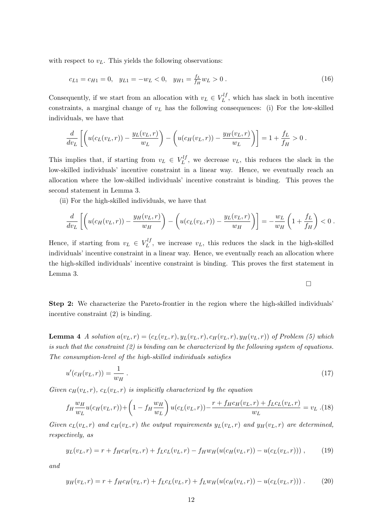with respect to  $v<sub>L</sub>$ . This yields the following observations:

$$
c_{L1} = c_{H1} = 0, \quad y_{L1} = -w_L < 0, \quad y_{H1} = \frac{f_L}{f_H} w_L > 0 \tag{16}
$$

Consequently, if we start from an allocation with  $v_L \in V_L^{l_f}$  $L^{ij}$ , which has slack in both incentive constraints, a marginal change of  $v<sub>L</sub>$  has the following consequences: (i) For the low-skilled individuals, we have that

$$
\frac{d}{dv_L} \left[ \left( u(c_L(v_L, r)) - \frac{y_L(v_L, r)}{w_L} \right) - \left( u(c_H(v_L, r)) - \frac{y_H(v_L, r)}{w_L} \right) \right] = 1 + \frac{f_L}{f_H} > 0.
$$

This implies that, if starting from  $v_L \in V_L^{l}$  $L^{U}$ , we decrease  $v_L$ , this reduces the slack in the low-skilled individuals' incentive constraint in a linear way. Hence, we eventually reach an allocation where the low-skilled individuals' incentive constraint is binding. This proves the second statement in Lemma 3.

(ii) For the high-skilled individuals, we have that

$$
\frac{d}{dv_L}\left[\left(u(c_H(v_L,r))-\frac{y_H(v_L,r)}{w_H}\right)-\left(u(c_L(v_L,r))-\frac{y_L(v_L,r)}{w_H}\right)\right]=-\frac{w_L}{w_H}\left(1+\frac{f_L}{f_H}\right)<0.
$$

 $\Box$ 

Hence, if starting from  $v_L \in V_L^{lj}$  $L^{U}$ , we increase  $v_L$ , this reduces the slack in the high-skilled individuals' incentive constraint in a linear way. Hence, we eventually reach an allocation where the high-skilled individuals' incentive constraint is binding. This proves the first statement in Lemma 3.

Step 2: We characterize the Pareto-frontier in the region where the high-skilled individuals' incentive constraint (2) is binding.

**Lemma 4** A solution  $a(v_L, r) = (c_L(v_L, r), y_L(v_L, r), c_H(v_L, r), y_H(v_L, r))$  of Problem (5) which is such that the constraint  $(2)$  is binding can be characterized by the following system of equations. The consumption-level of the high-skilled individuals satisfies

$$
u'(c_H(v_L, r)) = \frac{1}{w_H} \tag{17}
$$

Given  $c_H(v_L, r)$ ,  $c_L(v_L, r)$  is implicitly characterized by the equation

$$
f_H \frac{w_H}{w_L} u(c_H(v_L, r)) + \left(1 - f_H \frac{w_H}{w_L}\right) u(c_L(v_L, r)) - \frac{r + f_H c_H(v_L, r) + f_L c_L(v_L, r)}{w_L} = v_L \tag{18}
$$

Given  $c_L(v_L, r)$  and  $c_H(v_L, r)$  the output requirements  $y_L(v_L, r)$  and  $y_H(v_L, r)$  are determined, respectively, as

$$
y_L(v_L, r) = r + f_H c_H(v_L, r) + f_L c_L(v_L, r) - f_H w_H(u(c_H(v_L, r)) - u(c_L(v_L, r))) , \qquad (19)
$$

and

$$
y_H(v_L, r) = r + f_H c_H(v_L, r) + f_L c_L(v_L, r) + f_L w_H(u(c_H(v_L, r)) - u(c_L(v_L, r)))
$$
\n(20)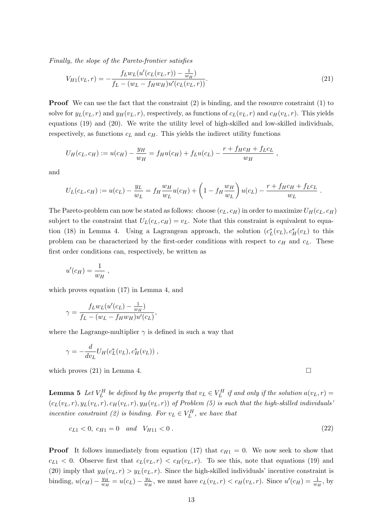Finally, the slope of the Pareto-frontier satisfies

$$
V_{H1}(v_L, r) = -\frac{f_L w_L (u'(c_L(v_L, r)) - \frac{1}{w_H})}{f_L - (w_L - f_H w_H) u'(c_L(v_L, r))}.
$$
\n(21)

Proof We can use the fact that the constraint (2) is binding, and the resource constraint (1) to solve for  $y_L(v_L, r)$  and  $y_H(v_L, r)$ , respectively, as functions of  $c_L(v_L, r)$  and  $c_H(v_L, r)$ . This yields equations (19) and (20). We write the utility level of high-skilled and low-skilled individuals, respectively, as functions  $c<sub>L</sub>$  and  $c<sub>H</sub>$ . This yields the indirect utility functions

$$
U_H(c_L, c_H) := u(c_H) - \frac{y_H}{w_H} = f_H u(c_H) + f_L u(c_L) - \frac{r + f_H c_H + f_L c_L}{w_H}
$$

and

$$
U_L(c_L, c_H) := u(c_L) - \frac{y_L}{w_L} = f_H \frac{w_H}{w_L} u(c_H) + \left(1 - f_H \frac{w_H}{w_L}\right) u(c_L) - \frac{r + f_H c_H + f_L c_L}{w_L}.
$$

The Pareto-problem can now be stated as follows: choose  $(c_L, c_H)$  in order to maximize  $U_H(c_L, c_H)$ subject to the constraint that  $U_L(c_L, c_H) = v_L$ . Note that this constraint is equivalent to equation (18) in Lemma 4. Using a Lagrangean approach, the solution  $(c<sub>L</sub><sup>*</sup>(v<sub>L</sub>), c<sub>H</sub><sup>*</sup>(v<sub>L</sub>)$  to this problem can be characterized by the first-order conditions with respect to  $c_H$  and  $c_L$ . These first order conditions can, respectively, be written as

$$
u'(c_H) = \frac{1}{w_H} ,
$$

which proves equation (17) in Lemma 4, and

$$
\gamma = \frac{f_L w_L (u'(c_L) - \frac{1}{w_H})}{f_L - (w_L - f_H w_H) u'(c_L)},
$$

where the Lagrange-multiplier  $\gamma$  is defined in such a way that

$$
\gamma = -\frac{d}{dv_L} U_H(c_L^*(v_L), c_H^*(v_L)),
$$

which proves  $(21)$  in Lemma 4.

**Lemma 5** Let  $V_L^H$  be defined by the property that  $v_L \in V_L^H$  if and only if the solution  $a(v_L, r)$  $(c_L(v_L, r), y_L(v_L, r), c_H(v_L, r), y_H(v_L, r))$  of Problem (5) is such that the high-skilled individuals' incentive constraint (2) is binding. For  $v_L \in V_L^H$ , we have that

$$
c_{L1} < 0, \, c_{H1} = 0 \quad \text{and} \quad V_{H11} < 0 \,. \tag{22}
$$

**Proof** It follows immediately from equation (17) that  $c_{H1} = 0$ . We now seek to show that  $c_{L1} < 0$ . Observe first that  $c_L(v_L, r) < c_H(v_L, r)$ . To see this, note that equations (19) and (20) imply that  $y_H(v_L, r) > y_L(v_L, r)$ . Since the high-skilled individuals' incentive constraint is binding,  $u(c_H) - \frac{y_H}{w_H}$  $\frac{y_H}{w_H} = u(c_L) - \frac{y_L}{w_H}$  $\frac{y_L}{w_H}$ , we must have  $c_L(v_L, r) < c_H(v_L, r)$ . Since  $u'(c_H) = \frac{1}{w_H}$ , by

,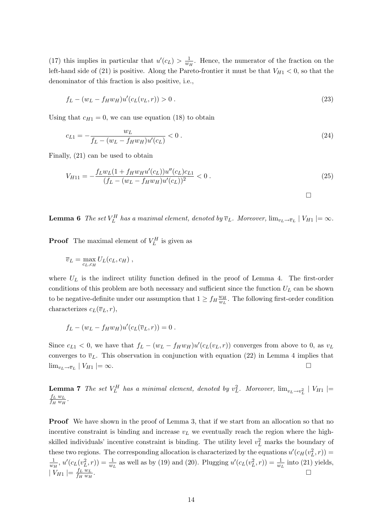(17) this implies in particular that  $u'(c<sub>L</sub>) > \frac{1}{w}$  $\frac{1}{w_H}$ . Hence, the numerator of the fraction on the left-hand side of (21) is positive. Along the Pareto-frontier it must be that  $V_{H1} < 0$ , so that the denominator of this fraction is also positive, i.e.,

$$
f_L - (w_L - f_H w_H)u'(c_L(v_L, r)) > 0.
$$
\n(23)

Using that  $c_{H1} = 0$ , we can use equation (18) to obtain

$$
c_{L1} = -\frac{w_L}{f_L - (w_L - f_H w_H) u'(c_L)} < 0. \tag{24}
$$

Finally, (21) can be used to obtain

$$
V_{H11} = -\frac{f_L w_L (1 + f_H w_H u'(c_L)) u''(c_L) c_{L1}}{(f_L - (w_L - f_H w_H) u'(c_L))^2} < 0.
$$
\n(25)

 $\Box$ 

**Lemma 6** The set  $V_L^H$  has a maximal element, denoted by  $\overline{v}_L$ . Moreover,  $\lim_{v_L \to \overline{v}_L} |V_{H1}| = \infty$ .

**Proof** The maximal element of  $V_L^H$  is given as

$$
\overline{v}_L = \max_{c_L, c_H} U_L(c_L, c_H) ,
$$

where  $U_L$  is the indirect utility function defined in the proof of Lemma 4. The first-order conditions of this problem are both necessary and sufficient since the function  $U_L$  can be shown to be negative-definite under our assumption that  $1 \geq f_H \frac{w_H}{w_H}$  $\frac{w_H}{w_L}$ . The following first-order condition characterizes  $c_L(\overline{v}_L, r)$ ,

$$
f_L - (w_L - f_H w_H) u'(c_L(\overline{v}_L, r)) = 0.
$$

Since  $c_{L1} < 0$ , we have that  $f_L - (w_L - f_H w_H) u'(c_L(v_L, r))$  converges from above to 0, as  $v_L$ converges to  $\overline{v}_L$ . This observation in conjunction with equation (22) in Lemma 4 implies that  $\lim_{v_L \to \bar{v}_L} |V_{H1}| = \infty.$ 

**Lemma 7** The set  $V_L^H$  has a minimal element, denoted by  $v_L^2$ . Moreover,  $\lim_{v_L \to v_L^2} |V_{H1}| =$  $f_L w_L$  $\frac{f_L w_L}{f_H w_H}$  .

**Proof** We have shown in the proof of Lemma 3, that if we start from an allocation so that no incentive constraint is binding and increase  $v<sub>L</sub>$  we eventually reach the region where the highskilled individuals' incentive constraint is binding. The utility level  $v<sub>L</sub><sup>2</sup>$  marks the boundary of these two regions. The corresponding allocation is characterized by the equations  $u'(c_H(v_L^2, r)) =$ 1  $\frac{1}{w_H}$ ,  $u'(c_L(v_L^2, r)) = \frac{1}{w_L}$  as well as by (19) and (20). Plugging  $u'(c_L(v_L^2, r)) = \frac{1}{w_L}$  into (21) yields,  $|V_{H1}| = \frac{f_L w_L}{f_H w_H}$  $f_H w_H$ .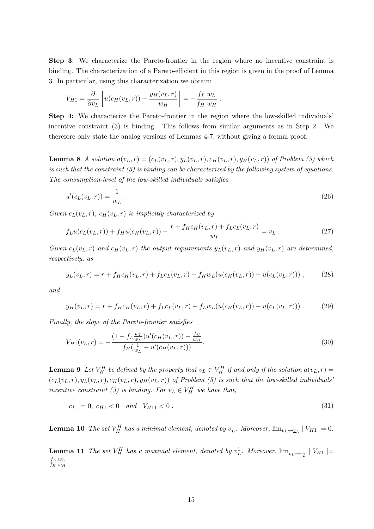Step 3: We characterize the Pareto-frontier in the region where no incentive constraint is binding. The characterization of a Pareto-efficient in this region is given in the proof of Lemma 3. In particular, using this characterization we obtain:

$$
V_{H1} = \frac{\partial}{\partial v_L} \left[ u(c_H(v_L, r)) - \frac{y_H(v_L, r)}{w_H} \right] = -\frac{f_L w_L}{f_H w_H}.
$$

Step 4: We characterize the Pareto-frontier in the region where the low-skilled individuals' incentive constraint (3) is binding. This follows from similar arguments as in Step 2. We therefore only state the analog versions of Lemmas 4-7, without giving a formal proof.

**Lemma 8** A solution  $a(v_L, r) = (c_L(v_L, r), y_L(v_L, r), c_H(v_L, r), y_H(v_L, r))$  of Problem (5) which is such that the constraint (3) is binding can be characterized by the following system of equations. The consumption-level of the low-skilled individuals satisfies

$$
u'(c_L(v_L, r)) = \frac{1}{w_L} \tag{26}
$$

Given  $c_L(v_L, r)$ ,  $c_H(v_L, r)$  is implicitly characterized by

$$
f_L u(c_L(v_L, r)) + f_H u(c_H(v_L, r)) - \frac{r + f_H c_H(v_L, r) + f_L c_L(v_L, r)}{w_L} = v_L.
$$
\n(27)

Given  $c_L(v_L, r)$  and  $c_H(v_L, r)$  the output requirements  $y_L(v_L, r)$  and  $y_H(v_L, r)$  are determined, respectively, as

$$
y_L(v_L, r) = r + f_H c_H(v_L, r) + f_L c_L(v_L, r) - f_H w_L (u(c_H(v_L, r)) - u(c_L(v_L, r))) , \qquad (28)
$$

and

$$
y_H(v_L, r) = r + f_H c_H(v_L, r) + f_L c_L(v_L, r) + f_L w_L (u(c_H(v_L, r)) - u(c_L(v_L, r))) \,. \tag{29}
$$

Finally, the slope of the Pareto-frontier satisfies

$$
V_{H1}(v_L, r) = -\frac{(1 - f_L \frac{w_L}{w_H})u'(c_H(v_L, r)) - \frac{f_H}{w_H}}{f_H(\frac{1}{w_L} - u'(c_H(v_L, r)))}.
$$
\n(30)

**Lemma 9** Let  $V_H^H$  be defined by the property that  $v_L \in V_H^H$  if and only if the solution  $a(v_L, r) =$  $(c_L(v_L, r), y_L(v_L, r), c_H(v_L, r), y_H(v_L, r))$  of Problem (5) is such that the low-skilled individuals' incentive constraint (3) is binding. For  $v_L \in V_H^H$  we have that,

$$
c_{L1} = 0, \ c_{H1} < 0 \quad \text{and} \quad V_{H11} < 0 \,. \tag{31}
$$

**Lemma 10** The set  $V_H^H$  has a minimal element, denoted by  $\underline{v}_L$ . Moreover,  $\lim_{v_L\to v_L} |V_{H1}| = 0$ .

**Lemma 11** The set  $V_H^H$  has a maximal element, denoted by  $v_L^1$ . Moreover,  $\lim_{v_L \to v_L^1} |V_{H1}| =$  $f_L w_L$  $\frac{f_L w_L}{f_H w_H}$  .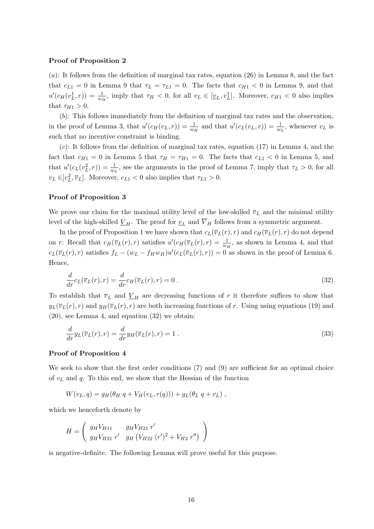#### Proof of Proposition 2

(a): It follows from the definition of marginal tax rates, equation (26) in Lemma 8, and the fact that  $c_{L1} = 0$  in Lemma 9 that  $\tau_L = \tau_{L1} = 0$ . The facts that  $c_{H1} < 0$  in Lemma 9, and that  $u'(c_H(v_L^1, r)) = \frac{1}{w_H}$ , imply that  $\tau_H < 0$ , for all  $v_L \in [\underline{v}_L, v_L^1]$ . Moreover,  $c_{H_1} < 0$  also implies that  $\tau_{H1} > 0$ .

(b): This follows immediately from the definition of marginal tax rates and the observation, in the proof of Lemma 3, that  $u'(c_H(v_L, r)) = \frac{1}{w_H}$  and that  $u'(c_L(v_L, r)) = \frac{1}{w_L}$ , whenever  $v_L$  is such that no incentive constraint is binding.

 $(c)$ : It follows from the definition of marginal tax rates, equation (17) in Lemma 4, and the fact that  $c_{H1} = 0$  in Lemma 5 that  $\tau_H = \tau_{H1} = 0$ . The facts that  $c_{L1} < 0$  in Lemma 5, and that  $u'(c_L(v_L^2, r)) = \frac{1}{w_L}$ , see the arguments in the proof of Lemma 7, imply that  $\tau_L > 0$ , for all  $v_L \in ]v_L^2, \overline{v}_L]$ . Moreover,  $c_{L1} < 0$  also implies that  $\tau_{L1} > 0$ .

#### Proof of Proposition 3

We prove our claim for the maximal utility level of the low-skilled  $\overline{v}_L$  and the minimal utility level of the high-skilled  $\underline{V}_H$ . The proof for  $\underline{v}_L$  and  $\overline{V}_H$  follows from a symmetric argument.

In the proof of Proposition 1 we have shown that  $c_L(\overline{v}_L(r), r)$  and  $c_H(\overline{v}_L(r), r)$  do not depend on r: Recall that  $c_H(\overline{v}_L(r), r)$  satisfies  $u'(c_H(\overline{v}_L(r), r) = \frac{1}{w_H}$ , as shown in Lemma 4, and that  $c_L(\overline{v}_L(r), r)$  satisfies  $f_L - (w_L - f_H w_H)u'(c_L(\overline{v}_L(r), r)) = 0$  as shown in the proof of Lemma 6. Hence,

$$
\frac{d}{dr}c_L(\overline{v}_L(r),r) = \frac{d}{dr}c_H(\overline{v}_L(r),r) = 0.
$$
\n(32)

To establish that  $\overline{v}_L$  and  $\underline{V}_H$  are decreasing functions of r it therefore suffices to show that  $y_L(\overline{v}_L(r), r)$  and  $y_H(\overline{v}_L(r), r)$  are both increasing functions of r. Using using equations (19) and (20), see Lemma 4, and equation (32) we obtain:

$$
\frac{d}{dr}y_L(\overline{v}_L(r),r) = \frac{d}{dr}y_H(\overline{v}_L(r),r) = 1.
$$
\n(33)

#### Proof of Proposition 4

We seek to show that the first order conditions (7) and (9) are sufficient for an optimal choice of  $v<sub>L</sub>$  and q. To this end, we show that the Hessian of the function

$$
W(vL, q) = gH(\thetaH q + VH(vL, r(q))) + gL(\thetaL q + vL),
$$

which we henceforth denote by

$$
H = \left(\begin{array}{cc} g_H V_{H11} & g_H V_{H21} r' \\ g_H V_{H21} r' & g_H (V_{H22} (r')^2 + V_{H2} r'') \end{array}\right)
$$

is negative-definite. The following Lemma will prove useful for this purpose.